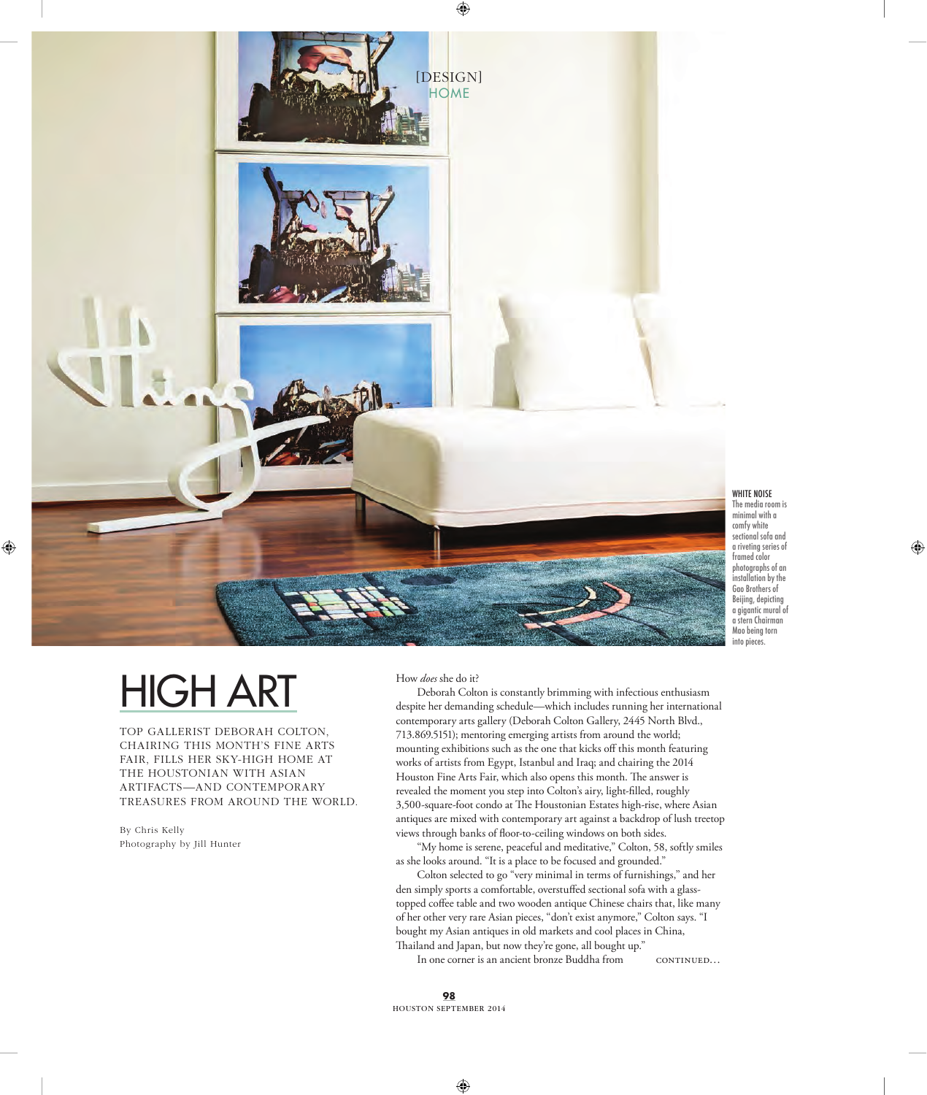

◈

WHITE NOISE The media room is minimal with a comfy white sectional sofa and a riveting series of framed color photographs of an installation by the Gao Brothers of Beijing, depicting a gigantic mural of a stern Chairman Mao being torn into pieces.

 $\bigcirc$ 

## HIGH ART

TOP GALLERIST DEBORAH COLTON, CHAIRING THIS MONTH'S FINE ARTS FAIR, FILLS HER SKY-HIGH HOME AT THE HOUSTONIAN WITH ASIAN ARTIFACTS—AND CONTEMPORARY TREASURES FROM AROUND THE WORLD.

By Chris Kelly Photography by Jill Hunter

 $\bigoplus$ 

## How *does* she do it?

Deborah Colton is constantly brimming with infectious enthusiasm despite her demanding schedule—which includes running her international contemporary arts gallery (Deborah Colton Gallery, 2445 North Blvd., 713.869.5151); mentoring emerging artists from around the world; mounting exhibitions such as the one that kicks off this month featuring works of artists from Egypt, Istanbul and Iraq; and chairing the 2014 Houston Fine Arts Fair, which also opens this month. The answer is revealed the moment you step into Colton's airy, light-filled, roughly 3,500-square-foot condo at The Houstonian Estates high-rise, where Asian antiques are mixed with contemporary art against a backdrop of lush treetop views through banks of floor-to-ceiling windows on both sides.

"My home is serene, peaceful and meditative," Colton, 58, softly smiles as she looks around. "It is a place to be focused and grounded."

Colton selected to go "very minimal in terms of furnishings," and her den simply sports a comfortable, overstuffed sectional sofa with a glasstopped coffee table and two wooden antique Chinese chairs that, like many of her other very rare Asian pieces, "don't exist anymore," Colton says. "I bought my Asian antiques in old markets and cool places in China, Thailand and Japan, but now they're gone, all bought up."

continued… In one corner is an ancient bronze Buddha from

**98** HOUSTON SEPTEMBER 2014

◈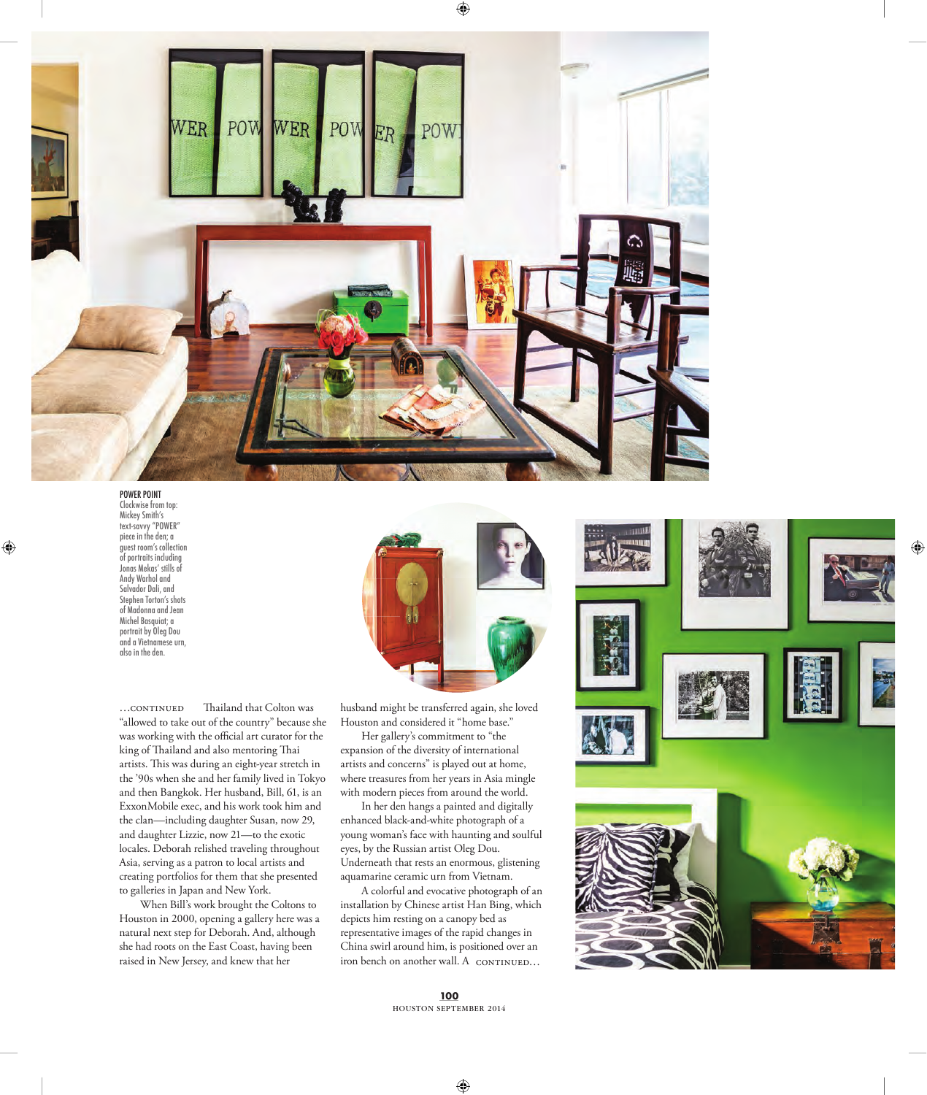

## POWER POINT

 $\bigoplus$ 

Clockwise from top: Mickey Smith's text-savvy "POWER" piece in the den; a guest room's collection of portraits including Jonas Mekas' stills of Andy Warhol and Salvador Dali, and Stephen Torton's shots of Madonna and Jean Michel Basquiat; a portrait by Oleg Dou and a Vietnamese urn, also in the den.

Thailand that Colton was "allowed to take out of the country" because she was working with the official art curator for the king of Thailand and also mentoring Thai artists. This was during an eight-year stretch in the '90s when she and her family lived in Tokyo and then Bangkok. Her husband, Bill, 61, is an ExxonMobile exec, and his work took him and the clan—including daughter Susan, now 29, and daughter Lizzie, now 21—to the exotic locales. Deborah relished traveling throughout Asia, serving as a patron to local artists and creating portfolios for them that she presented to galleries in Japan and New York.  $...$ CONTINUED

 When Bill's work brought the Coltons to Houston in 2000, opening a gallery here was a natural next step for Deborah. And, although she had roots on the East Coast, having been raised in New Jersey, and knew that her



◉

husband might be transferred again, she loved Houston and considered it "home base."

 Her gallery's commitment to "the expansion of the diversity of international artists and concerns" is played out at home, where treasures from her years in Asia mingle with modern pieces from around the world.

 In her den hangs a painted and digitally enhanced black-and-white photograph of a young woman's face with haunting and soulful eyes, by the Russian artist Oleg Dou. Underneath that rests an enormous, glistening aquamarine ceramic urn from Vietnam.

iron bench on another wall. A CONTINUED... A colorful and evocative photograph of an installation by Chinese artist Han Bing, which depicts him resting on a canopy bed as representative images of the rapid changes in China swirl around him, is positioned over an



◈

**100** HOUSTON SEPTEMBER 2014

◈